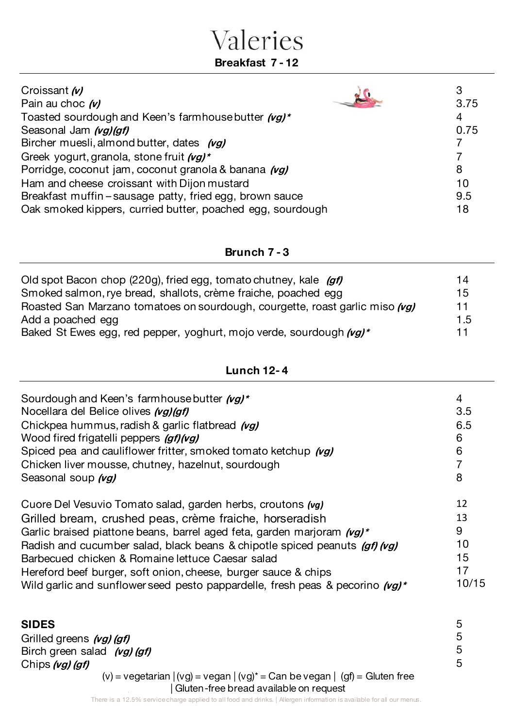## Valeries **Breakfast 7 - 12**

| Croissant (v)                                              |      |
|------------------------------------------------------------|------|
| Pain au choc (v)                                           | 3.75 |
| Toasted sourdough and Keen's farmhouse butter (vg)*        | 4    |
| Seasonal Jam (vg)(gf)                                      | 0.75 |
| Bircher muesli, almond butter, dates (vg)                  |      |
| Greek yogurt, granola, stone fruit (vg)*                   |      |
| Porridge, coconut jam, coconut granola & banana (vg)       | 8    |
| Ham and cheese croissant with Dijon mustard                | 10   |
| Breakfast muffin – sausage patty, fried egg, brown sauce   | 9.5  |
| Oak smoked kippers, curried butter, poached egg, sourdough | 18   |

#### **Brunch 7 - 3**

| Old spot Bacon chop (220g), fried egg, tomato chutney, kale (gf)             | 14  |
|------------------------------------------------------------------------------|-----|
| Smoked salmon, rye bread, shallots, crème fraiche, poached egg               | 15  |
| Roasted San Marzano tomatoes on sourdough, courgette, roast garlic miso (vg) | 11  |
| Add a poached egg                                                            | 1.5 |
| Baked St Ewes egg, red pepper, yoghurt, mojo verde, sourdough (vg)*          |     |

#### **Lunch 12- 4**

| Sourdough and Keen's farmhouse butter (vg)*<br>Nocellara del Belice olives (vg) (gf)<br>Chickpea hummus, radish & garlic flatbread (vg)<br>Wood fired frigatelli peppers (gf)(vg)<br>Spiced pea and cauliflower fritter, smoked tomato ketchup (vg)<br>Chicken liver mousse, chutney, hazelnut, sourdough<br>Seasonal soup (vg) |       |
|---------------------------------------------------------------------------------------------------------------------------------------------------------------------------------------------------------------------------------------------------------------------------------------------------------------------------------|-------|
| Cuore Del Vesuvio Tomato salad, garden herbs, croutons (vg)                                                                                                                                                                                                                                                                     | 12    |
| Grilled bream, crushed peas, crème fraiche, horseradish                                                                                                                                                                                                                                                                         | 13    |
| Garlic braised piattone beans, barrel aged feta, garden marjoram $(\nu g)^*$                                                                                                                                                                                                                                                    | 9     |
| Radish and cucumber salad, black beans & chipotle spiced peanuts (af) (va)                                                                                                                                                                                                                                                      | 10    |
| Barbecued chicken & Romaine lettuce Caesar salad                                                                                                                                                                                                                                                                                | 15    |
| Hereford beef burger, soft onion, cheese, burger sauce & chips                                                                                                                                                                                                                                                                  | 17    |
| Wild garlic and sunflower seed pesto pappardelle, fresh peas & pecorino $(\nu g)^*$                                                                                                                                                                                                                                             | 10/15 |

| <b>SIDES</b>                                                                      |              |
|-----------------------------------------------------------------------------------|--------------|
| Grilled greens (vg) (gf)                                                          | 5            |
| Birch green salad (vg) (gf)                                                       | 5            |
| Chips (vg) (gf)                                                                   | $\mathbf{b}$ |
| $(v)$ = vegetarian $ (vg)$ = vegan $ (vg)^*$ = Can be vegan $ (gf)$ = Gluten free |              |
| Gluten-free bread available on request                                            |              |

There is a 12.5% service charge applied to all food and drinks. | Allergen information is available for all our menus.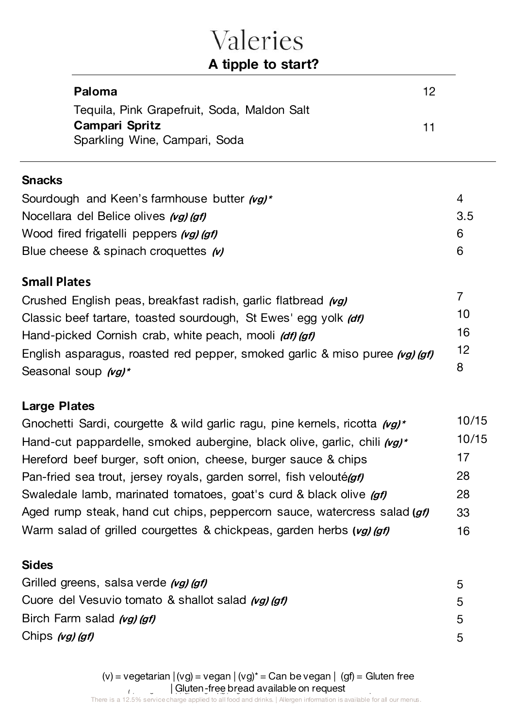**Paloma** 

**A tipple to start?**

12

| Tequila, Pink Grapefruit, Soda, Maldon Salt<br>Campari Spritz<br>Sparkling Wine, Campari, Soda | 11             |
|------------------------------------------------------------------------------------------------|----------------|
| Snacks                                                                                         |                |
| Sourdough and Keen's farmhouse butter (vg)*                                                    | $\overline{4}$ |
| Nocellara del Belice olives (vg) (gf)                                                          | 3.5            |
| Wood fired frigatelli peppers (vg) (gf)                                                        | 6              |
| Blue cheese & spinach croquettes (v)                                                           | 6              |
| <b>Small Plates</b>                                                                            |                |
| Crushed English peas, breakfast radish, garlic flatbread (vg)                                  | $\overline{7}$ |
| Classic beef tartare, toasted sourdough, St Ewes' egg yolk (df)                                | 10             |
| Hand-picked Cornish crab, white peach, mooli (df) (gf)                                         |                |
| English asparagus, roasted red pepper, smoked garlic & miso puree (vg) (gf)                    | 12             |
| Seasonal soup (vg)*                                                                            | 8              |
| <b>Large Plates</b>                                                                            |                |
| Gnochetti Sardi, courgette & wild garlic ragu, pine kernels, ricotta (vg)*                     | 10/15          |
| Hand-cut pappardelle, smoked aubergine, black olive, garlic, chili (vg)*                       | 10/15          |
| Hereford beef burger, soft onion, cheese, burger sauce & chips                                 | 17             |
| Pan-fried sea trout, jersey royals, garden sorrel, fish velouté <i>(gf)</i>                    | 28             |
| Swaledale lamb, marinated tomatoes, goat's curd & black olive (gf)                             | 28             |
| Aged rump steak, hand cut chips, peppercorn sauce, watercress salad (gf)                       | 33             |
| Warm salad of grilled courgettes & chickpeas, garden herbs (vg) (gf)                           | 16             |
| Sides                                                                                          |                |
| Grilled greens, salsa verde (vg) (gf)                                                          | 5              |
| Cuore del Vesuvio tomato & shallot salad (vg) (gf)                                             | 5              |
| Birch Farm salad (vg) (gf)                                                                     | 5              |
| Chips <i>(vg) (gf)</i>                                                                         | 5              |
|                                                                                                |                |

request | (viluten-tree pread available on request)<br>There is a 12.5% service charge applied to all food and drinks. | Allergen information is available for all our menus. (v) = vegetarian  $|(vg) = vega \mid (vg)^* = Can be vega \mid (gf) = Gluten free$ | Gluten-free bread available on request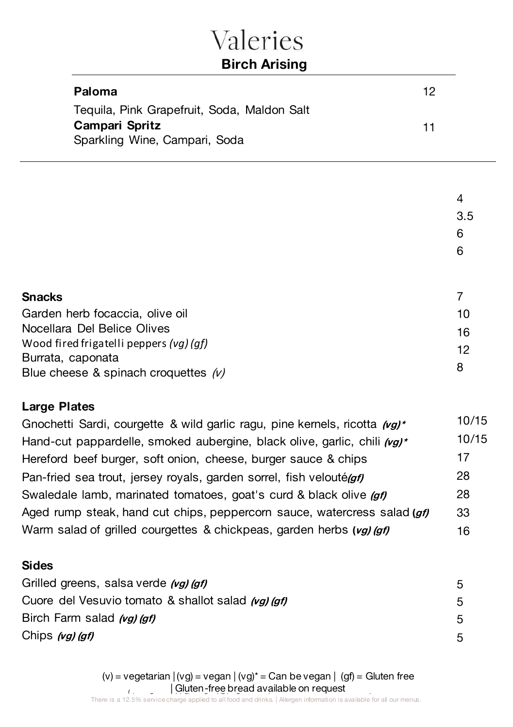| Valeries<br><b>Birch Arising</b>                                                               |    |                    |
|------------------------------------------------------------------------------------------------|----|--------------------|
| Paloma                                                                                         | 12 |                    |
| Tequila, Pink Grapefruit, Soda, Maldon Salt<br>Campari Spritz<br>Sparkling Wine, Campari, Soda | 11 |                    |
|                                                                                                |    | 4<br>3.5<br>6<br>6 |
| <b>Snacks</b><br>Garden herb focaccia, olive oil                                               |    | 7<br>10            |

| 16 |
|----|
| 12 |
|    |
|    |
|    |

#### **Large Plates**

| Gnochetti Sardi, courgette & wild garlic ragu, pine kernels, ricotta (vg)* | 10/15 |
|----------------------------------------------------------------------------|-------|
| Hand-cut pappardelle, smoked aubergine, black olive, garlic, chili (vg)*   | 10/15 |
| Hereford beef burger, soft onion, cheese, burger sauce & chips             | 17    |
| Pan-fried sea trout, jersey royals, garden sorrel, fish velouté(gf)        | 28    |
| Swaledale lamb, marinated tomatoes, goat's curd & black olive (gf)         | 28    |
| Aged rump steak, hand cut chips, peppercorn sauce, watercress salad (gf)   | -33   |
| Warm salad of grilled courgettes & chickpeas, garden herbs (vg) (gf)       | 16    |

#### **Sides**

| Grilled greens, salsa verde (vg) (gf)              | 5 |
|----------------------------------------------------|---|
| Cuore del Vesuvio tomato & shallot salad (vg) (gf) | 5 |
| Birch Farm salad (vg) (gf)                         | 5 |
| Chips (vg) (gf)                                    | 5 |

request | (viluten-tree pread available on request)<br>There is a 12.5% service charge applied to all food and drinks. | Allergen information is available for all our menus. (v) = vegetarian  $|(vg)$  = vegan  $|(vg)^*$  = Can be vegan  $|$  (gf) = Gluten free | Gluten-free bread available on request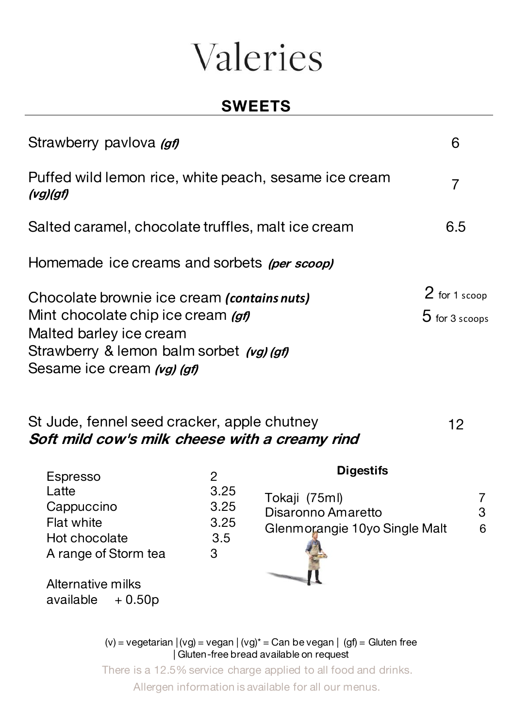### **SWEETS**

| Strawberry pavlova (gf)                                                                                                                                                                | ჩ                                 |
|----------------------------------------------------------------------------------------------------------------------------------------------------------------------------------------|-----------------------------------|
| Puffed wild lemon rice, white peach, sesame ice cream<br>(vg)(gf)                                                                                                                      |                                   |
| Salted caramel, chocolate truffles, malt ice cream                                                                                                                                     | 6.5                               |
| Homemade ice creams and sorbets (per scoop)                                                                                                                                            |                                   |
| Chocolate brownie ice cream (contains nuts)<br>Mint chocolate chip ice cream (gf)<br>Malted barley ice cream<br>Strawberry & lemon balm sorbet (vg) (gf)<br>Sesame ice cream (vg) (gf) | 2 for 1 scoop<br>$5$ for 3 scoops |

#### St Jude, fennel seed cracker, apple chutney **Soft mild cow's milk cheese with a creamy rind** 12

| Espresso                                            |                  | <b>Digestifs</b>                    |        |
|-----------------------------------------------------|------------------|-------------------------------------|--------|
| Latte<br>Cappuccino                                 | 3.25<br>3.25     | Tokaji (75ml)<br>Disaronno Amaretto | 7<br>3 |
| Flat white<br>Hot chocolate<br>A range of Storm tea | 3.25<br>3.5<br>З | Glenmorangie 10yo Single Malt       | 6      |
| Alternative milks                                   |                  |                                     |        |

rnative milks available  $+0.50p$ 

> | Gluten-free bread available on request (v) = vegetarian  $|(vg) = vega \mid (vg)^* = Can be vega \mid (gf) = Gluten free$

There is a 12.5% service charge applied to all food and drinks. Allergen information is available for all our menus.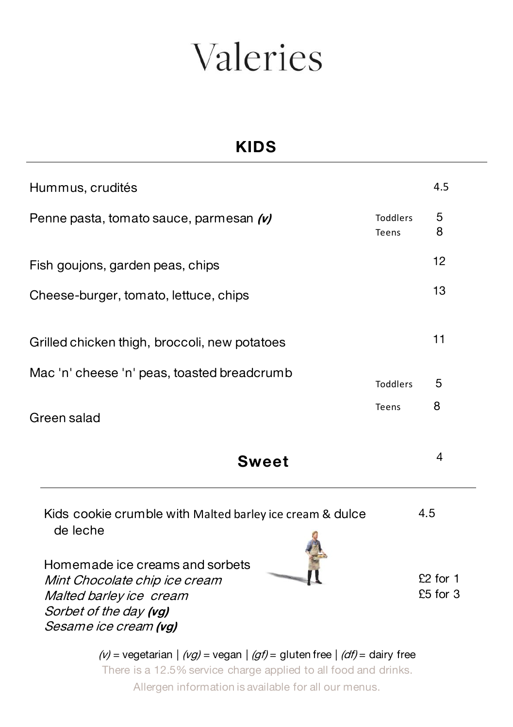### **KIDS**

| Hummus, crudités                                                                                                                                                                                       |                   | 4.5                               |
|--------------------------------------------------------------------------------------------------------------------------------------------------------------------------------------------------------|-------------------|-----------------------------------|
| Penne pasta, tomato sauce, parmesan (v)                                                                                                                                                                | Toddlers<br>Teens | 5<br>8                            |
| Fish goujons, garden peas, chips                                                                                                                                                                       |                   | 12                                |
| Cheese-burger, tomato, lettuce, chips                                                                                                                                                                  |                   | 13                                |
| Grilled chicken thigh, broccoli, new potatoes                                                                                                                                                          |                   | 11                                |
| Mac 'n' cheese 'n' peas, toasted breadcrumb                                                                                                                                                            | <b>Toddlers</b>   | 5                                 |
| Green salad                                                                                                                                                                                            | Teens             | 8                                 |
| <b>Sweet</b>                                                                                                                                                                                           |                   | 4                                 |
| Kids cookie crumble with Malted barley ice cream & dulce<br>de leche<br>Homemade ice creams and sorbets<br>Mint Chocolate chip ice cream<br>Malted barley ice cream                                    |                   | 4.5<br>$£2$ for 1<br>$£5$ for $3$ |
| Sorbet of the day (vg)<br>Sesame ice cream (vg)<br>$(v)$ = vegetarian $  (vg)$ = vegan $  (gf)$ = gluten free $  (df)$ = dairy free<br>There is a 12.5% service charge applied to all food and drinks. |                   |                                   |

Allergen information is available for all our menus.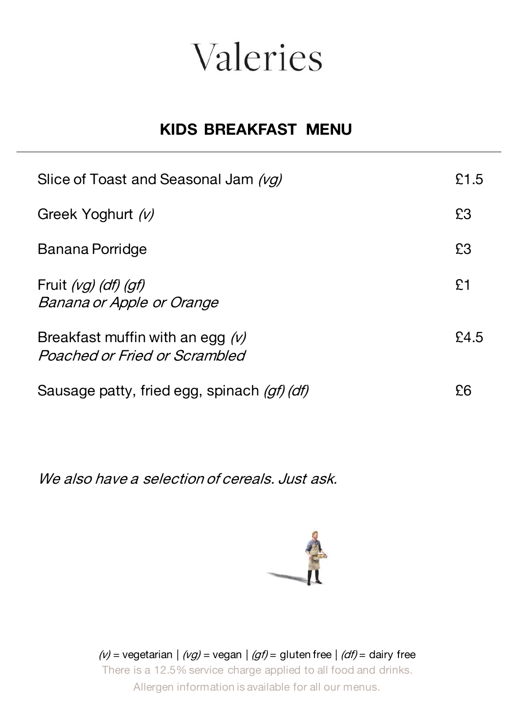### **KIDS BREAKFAST MENU**

| Slice of Toast and Seasonal Jam (vg)                                  | £1.5 |
|-----------------------------------------------------------------------|------|
| Greek Yoghurt (v)                                                     | £3   |
| Banana Porridge                                                       | £3   |
| Fruit $(vg)$ (df) (gf)<br>Banana or Apple or Orange                   | £1   |
| Breakfast muffin with an egg $(\nu)$<br>Poached or Fried or Scrambled | £45  |
| Sausage patty, fried egg, spinach (gf) (df)                           | ନେ   |

We also have a selection of cereals. Just ask.



(v) = vegetarian  $| (vg)$  = vegan  $| (gf)$  = gluten free  $| (df)$  = dairy free There is a 12.5% service charge applied to all food and drinks. Allergen information is available for all our menus.